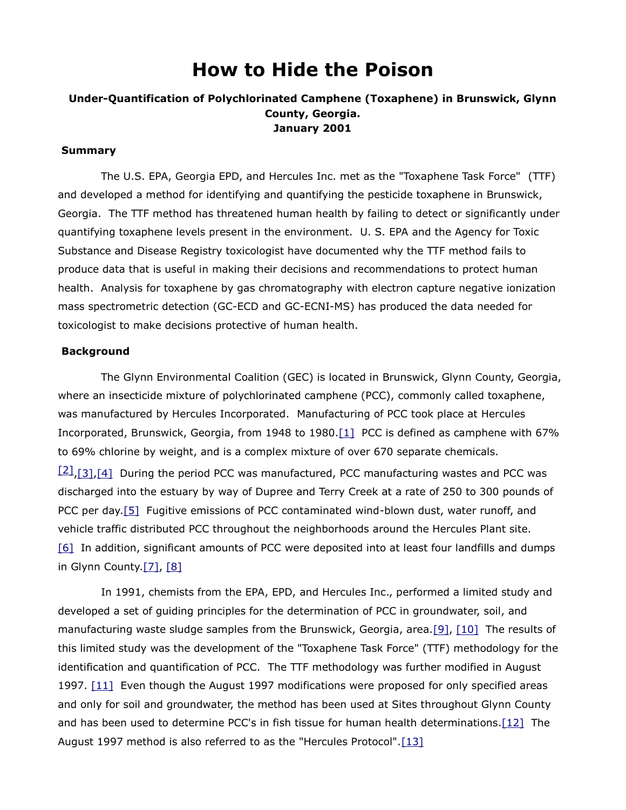# **How to Hide the Poison**

## **Under-Quantification of Polychlorinated Camphene (Toxaphene) in Brunswick, Glynn County, Georgia. January 2001**

#### **Summary**

The U.S. EPA, Georgia EPD, and Hercules Inc. met as the "Toxaphene Task Force" (TTF) and developed a method for identifying and quantifying the pesticide toxaphene in Brunswick, Georgia. The TTF method has threatened human health by failing to detect or significantly under quantifying toxaphene levels present in the environment. U. S. EPA and the Agency for Toxic Substance and Disease Registry toxicologist have documented why the TTF method fails to produce data that is useful in making their decisions and recommendations to protect human health. Analysis for toxaphene by gas chromatography with electron capture negative ionization mass spectrometric detection (GC-ECD and GC-ECNI-MS) has produced the data needed for toxicologist to make decisions protective of human health.

#### **Background**

The Glynn Environmental Coalition (GEC) is located in Brunswick, Glynn County, Georgia, where an insecticide mixture of polychlorinated camphene (PCC), commonly called toxaphene, was manufactured by Hercules Incorporated. Manufacturing of PCC took place at Hercules Incorporated, Brunswick, Georgia, from 1948 to 1980[.\[1\]](http://glynnenvironmental.org/oldsite/ToxapheneAnalysis.htm#_edn1) PCC is defined as camphene with 67% to 69% chlorine by weight, and is a complex mixture of over 670 separate chemicals.  $[2]$ ,  $[3]$ ,  $[4]$  During the period PCC was manufactured, PCC manufacturing wastes and PCC was discharged into the estuary by way of Dupree and Terry Creek at a rate of 250 to 300 pounds of PCC per day[.\[5\]](http://glynnenvironmental.org/oldsite/ToxapheneAnalysis.htm#_edn5) Fugitive emissions of PCC contaminated wind-blown dust, water runoff, and vehicle traffic distributed PCC throughout the neighborhoods around the Hercules Plant site. [\[6\]](http://glynnenvironmental.org/oldsite/ToxapheneAnalysis.htm#_edn6) In addition, significant amounts of PCC were deposited into at least four landfills and dumps in Glynn County. $[7]$ ,  $[8]$ 

In 1991, chemists from the EPA, EPD, and Hercules Inc., performed a limited study and developed a set of guiding principles for the determination of PCC in groundwater, soil, and manufacturing waste sludge samples from the Brunswick, Georgia, area[.\[9\],](http://glynnenvironmental.org/oldsite/ToxapheneAnalysis.htm#_edn9) [\[10\]](http://glynnenvironmental.org/oldsite/ToxapheneAnalysis.htm#_edn10) The results of this limited study was the development of the "Toxaphene Task Force" (TTF) methodology for the identification and quantification of PCC. The TTF methodology was further modified in August 1997.  $[11]$  Even though the August 1997 modifications were proposed for only specified areas and only for soil and groundwater, the method has been used at Sites throughout Glynn County and has been used to determine PCC's in fish tissue for human health determinations[.\[12\]](http://glynnenvironmental.org/oldsite/ToxapheneAnalysis.htm#_edn12) The August 1997 method is also referred to as the "Hercules Protocol"[.\[13\]](http://glynnenvironmental.org/oldsite/ToxapheneAnalysis.htm#_edn13)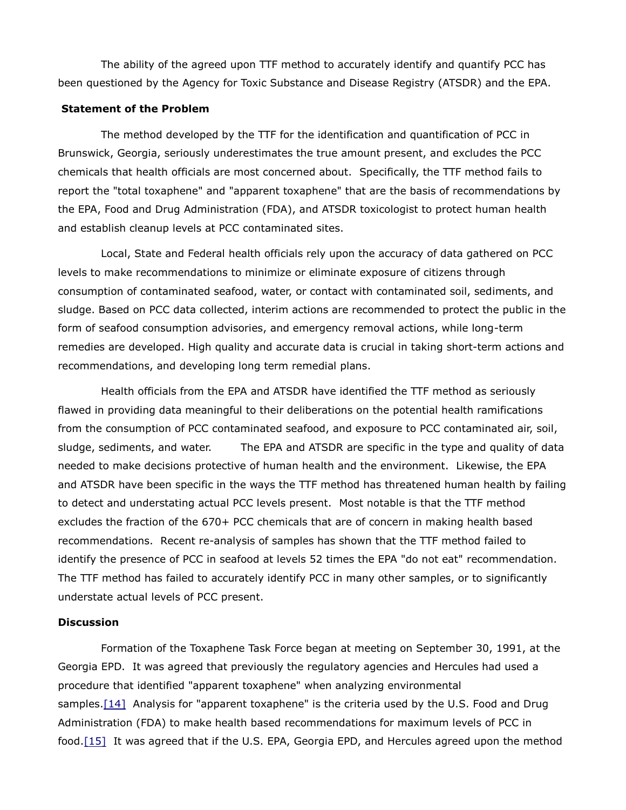The ability of the agreed upon TTF method to accurately identify and quantify PCC has been questioned by the Agency for Toxic Substance and Disease Registry (ATSDR) and the EPA.

### **Statement of the Problem**

The method developed by the TTF for the identification and quantification of PCC in Brunswick, Georgia, seriously underestimates the true amount present, and excludes the PCC chemicals that health officials are most concerned about. Specifically, the TTF method fails to report the "total toxaphene" and "apparent toxaphene" that are the basis of recommendations by the EPA, Food and Drug Administration (FDA), and ATSDR toxicologist to protect human health and establish cleanup levels at PCC contaminated sites.

Local, State and Federal health officials rely upon the accuracy of data gathered on PCC levels to make recommendations to minimize or eliminate exposure of citizens through consumption of contaminated seafood, water, or contact with contaminated soil, sediments, and sludge. Based on PCC data collected, interim actions are recommended to protect the public in the form of seafood consumption advisories, and emergency removal actions, while long-term remedies are developed. High quality and accurate data is crucial in taking short-term actions and recommendations, and developing long term remedial plans.

Health officials from the EPA and ATSDR have identified the TTF method as seriously flawed in providing data meaningful to their deliberations on the potential health ramifications from the consumption of PCC contaminated seafood, and exposure to PCC contaminated air, soil, sludge, sediments, and water. The EPA and ATSDR are specific in the type and quality of data needed to make decisions protective of human health and the environment. Likewise, the EPA and ATSDR have been specific in the ways the TTF method has threatened human health by failing to detect and understating actual PCC levels present. Most notable is that the TTF method excludes the fraction of the 670+ PCC chemicals that are of concern in making health based recommendations. Recent re-analysis of samples has shown that the TTF method failed to identify the presence of PCC in seafood at levels 52 times the EPA "do not eat" recommendation. The TTF method has failed to accurately identify PCC in many other samples, or to significantly understate actual levels of PCC present.

#### **Discussion**

Formation of the Toxaphene Task Force began at meeting on September 30, 1991, at the Georgia EPD. It was agreed that previously the regulatory agencies and Hercules had used a procedure that identified "apparent toxaphene" when analyzing environmental samples[.\[14\]](http://glynnenvironmental.org/oldsite/ToxapheneAnalysis.htm#_edn14) Analysis for "apparent toxaphene" is the criteria used by the U.S. Food and Drug Administration (FDA) to make health based recommendations for maximum levels of PCC in food[.\[15\]](http://glynnenvironmental.org/oldsite/ToxapheneAnalysis.htm#_edn15) It was agreed that if the U.S. EPA, Georgia EPD, and Hercules agreed upon the method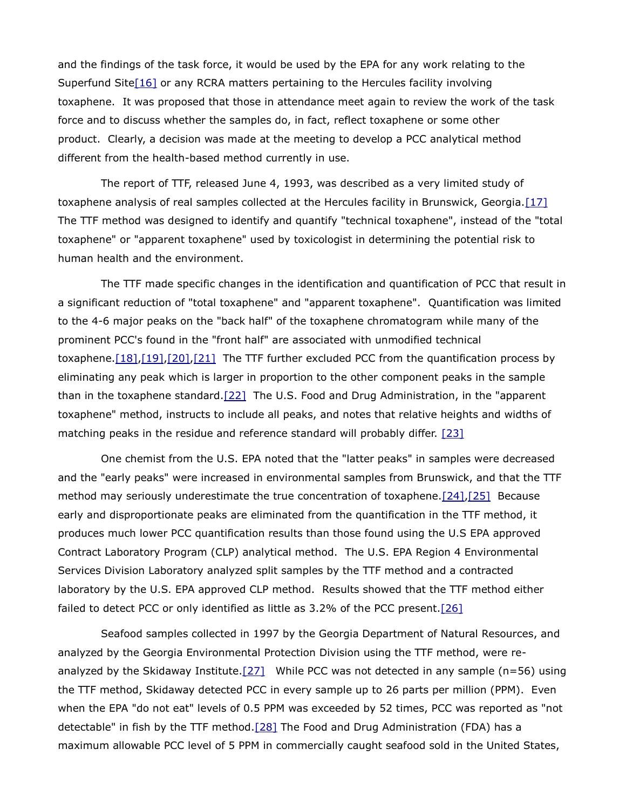and the findings of the task force, it would be used by the EPA for any work relating to the Superfund Site<sup>[16]</sup> or any RCRA matters pertaining to the Hercules facility involving toxaphene. It was proposed that those in attendance meet again to review the work of the task force and to discuss whether the samples do, in fact, reflect toxaphene or some other product. Clearly, a decision was made at the meeting to develop a PCC analytical method different from the health-based method currently in use.

The report of TTF, released June 4, 1993, was described as a very limited study of toxaphene analysis of real samples collected at the Hercules facility in Brunswick, Georgia. [17] The TTF method was designed to identify and quantify "technical toxaphene", instead of the "total toxaphene" or "apparent toxaphene" used by toxicologist in determining the potential risk to human health and the environment.

The TTF made specific changes in the identification and quantification of PCC that result in a significant reduction of "total toxaphene" and "apparent toxaphene". Quantification was limited to the 4-6 major peaks on the "back half" of the toxaphene chromatogram while many of the prominent PCC's found in the "front half" are associated with unmodified technical toxaphene. $[18]$ , $[19]$ , $[20]$ , $[21]$  The TTF further excluded PCC from the quantification process by eliminating any peak which is larger in proportion to the other component peaks in the sample than in the toxaphene standard[.\[22\]](http://glynnenvironmental.org/oldsite/ToxapheneAnalysis.htm#_edn22) The U.S. Food and Drug Administration, in the "apparent toxaphene" method, instructs to include all peaks, and notes that relative heights and widths of matching peaks in the residue and reference standard will probably differ. [\[23\]](http://glynnenvironmental.org/oldsite/ToxapheneAnalysis.htm#_edn23)

One chemist from the U.S. EPA noted that the "latter peaks" in samples were decreased and the "early peaks" were increased in environmental samples from Brunswick, and that the TTF method may seriously underestimate the true concentration of toxaphene[.\[24\],](http://glynnenvironmental.org/oldsite/ToxapheneAnalysis.htm#_edn24)[\[25\]](http://glynnenvironmental.org/oldsite/ToxapheneAnalysis.htm#_edn25) Because early and disproportionate peaks are eliminated from the quantification in the TTF method, it produces much lower PCC quantification results than those found using the U.S EPA approved Contract Laboratory Program (CLP) analytical method. The U.S. EPA Region 4 Environmental Services Division Laboratory analyzed split samples by the TTF method and a contracted laboratory by the U.S. EPA approved CLP method. Results showed that the TTF method either failed to detect PCC or only identified as little as 3.2% of the PCC present[.\[26\]](http://glynnenvironmental.org/oldsite/ToxapheneAnalysis.htm#_edn26)

Seafood samples collected in 1997 by the Georgia Department of Natural Resources, and analyzed by the Georgia Environmental Protection Division using the TTF method, were reanalyzed by the Skidaway Institute[.\[27\]](http://glynnenvironmental.org/oldsite/ToxapheneAnalysis.htm#_edn27) While PCC was not detected in any sample (n=56) using the TTF method, Skidaway detected PCC in every sample up to 26 parts per million (PPM). Even when the EPA "do not eat" levels of 0.5 PPM was exceeded by 52 times, PCC was reported as "not detectable" in fish by the TTF method[.\[28\]](http://glynnenvironmental.org/oldsite/ToxapheneAnalysis.htm#_edn28) The Food and Drug Administration (FDA) has a maximum allowable PCC level of 5 PPM in commercially caught seafood sold in the United States,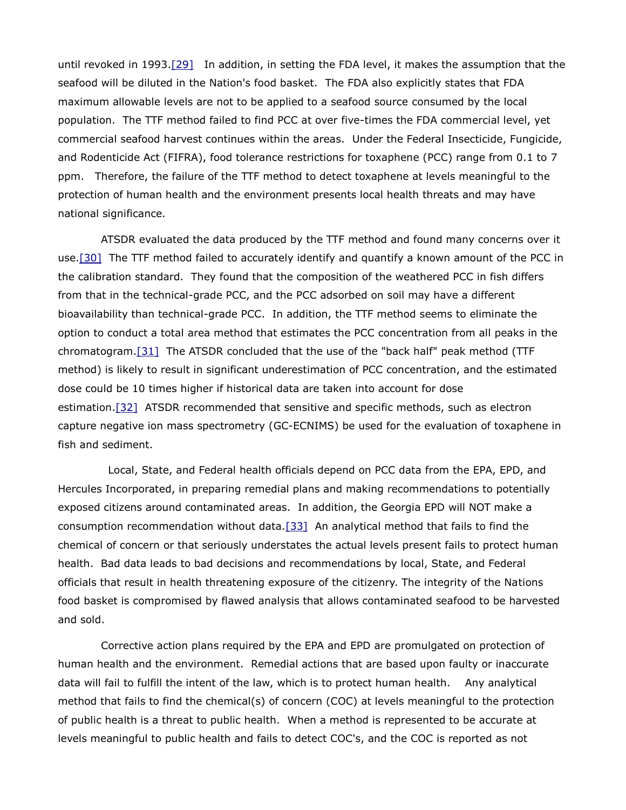until revoked in 1993[.\[29\]](http://glynnenvironmental.org/oldsite/ToxapheneAnalysis.htm#_edn29) In addition, in setting the FDA level, it makes the assumption that the seafood will be diluted in the Nation's food basket. The FDA also explicitly states that FDA maximum allowable levels are not to be applied to a seafood source consumed by the local population. The TTF method failed to find PCC at over five-times the FDA commercial level, yet commercial seafood harvest continues within the areas. Under the Federal Insecticide, Fungicide, and Rodenticide Act (FIFRA), food tolerance restrictions for toxaphene (PCC) range from 0.1 to 7 ppm. Therefore, the failure of the TTF method to detect toxaphene at levels meaningful to the protection of human health and the environment presents local health threats and may have national significance.

ATSDR evaluated the data produced by the TTF method and found many concerns over it use[.\[30\]](http://glynnenvironmental.org/oldsite/ToxapheneAnalysis.htm#_edn30) The TTF method failed to accurately identify and quantify a known amount of the PCC in the calibration standard. They found that the composition of the weathered PCC in fish differs from that in the technical-grade PCC, and the PCC adsorbed on soil may have a different bioavailability than technical-grade PCC. In addition, the TTF method seems to eliminate the option to conduct a total area method that estimates the PCC concentration from all peaks in the chromatogram[.\[31\]](http://glynnenvironmental.org/oldsite/ToxapheneAnalysis.htm#_edn31) The ATSDR concluded that the use of the "back half" peak method (TTF method) is likely to result in significant underestimation of PCC concentration, and the estimated dose could be 10 times higher if historical data are taken into account for dose estimation[.\[32\]](http://glynnenvironmental.org/oldsite/ToxapheneAnalysis.htm#_edn32) ATSDR recommended that sensitive and specific methods, such as electron capture negative ion mass spectrometry (GC-ECNIMS) be used for the evaluation of toxaphene in fish and sediment.

Local, State, and Federal health officials depend on PCC data from the EPA, EPD, and Hercules Incorporated, in preparing remedial plans and making recommendations to potentially exposed citizens around contaminated areas. In addition, the Georgia EPD will NOT make a consumption recommendation without data[.\[33\]](http://glynnenvironmental.org/oldsite/ToxapheneAnalysis.htm#_edn33) An analytical method that fails to find the chemical of concern or that seriously understates the actual levels present fails to protect human health. Bad data leads to bad decisions and recommendations by local, State, and Federal officials that result in health threatening exposure of the citizenry. The integrity of the Nations food basket is compromised by flawed analysis that allows contaminated seafood to be harvested and sold.

Corrective action plans required by the EPA and EPD are promulgated on protection of human health and the environment. Remedial actions that are based upon faulty or inaccurate data will fail to fulfill the intent of the law, which is to protect human health. Any analytical method that fails to find the chemical(s) of concern (COC) at levels meaningful to the protection of public health is a threat to public health. When a method is represented to be accurate at levels meaningful to public health and fails to detect COC's, and the COC is reported as not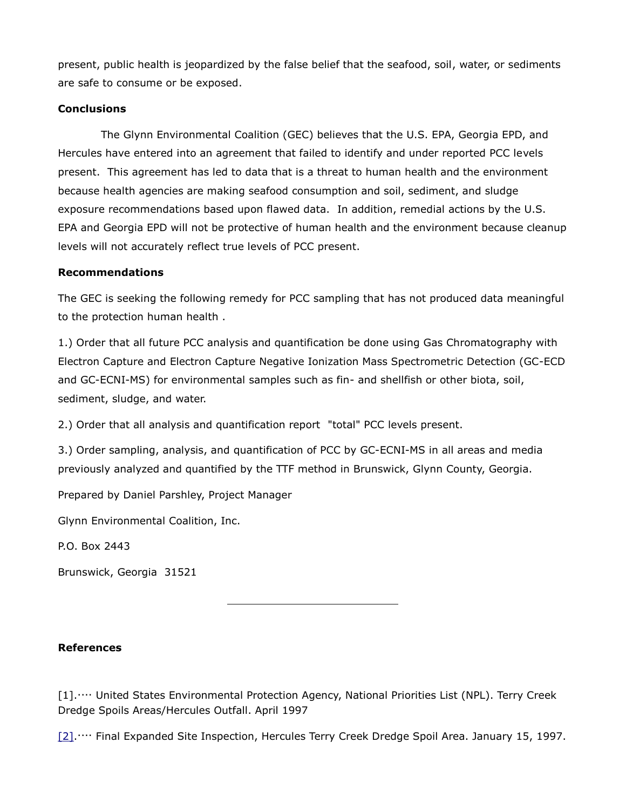present, public health is jeopardized by the false belief that the seafood, soil, water, or sediments are safe to consume or be exposed.

## **Conclusions**

The Glynn Environmental Coalition (GEC) believes that the U.S. EPA, Georgia EPD, and Hercules have entered into an agreement that failed to identify and under reported PCC levels present. This agreement has led to data that is a threat to human health and the environment because health agencies are making seafood consumption and soil, sediment, and sludge exposure recommendations based upon flawed data. In addition, remedial actions by the U.S. EPA and Georgia EPD will not be protective of human health and the environment because cleanup levels will not accurately reflect true levels of PCC present.

## **Recommendations**

The GEC is seeking the following remedy for PCC sampling that has not produced data meaningful to the protection human health .

1.) Order that all future PCC analysis and quantification be done using Gas Chromatography with Electron Capture and Electron Capture Negative Ionization Mass Spectrometric Detection (GC-ECD and GC-ECNI-MS) for environmental samples such as fin- and shellfish or other biota, soil, sediment, sludge, and water.

2.) Order that all analysis and quantification report "total" PCC levels present.

3.) Order sampling, analysis, and quantification of PCC by GC-ECNI-MS in all areas and media previously analyzed and quantified by the TTF method in Brunswick, Glynn County, Georgia.

Prepared by Daniel Parshley, Project Manager

Glynn Environmental Coalition, Inc.

P.O. Box 2443

Brunswick, Georgia 31521

**References**

[1]..... United States Environmental Protection Agency, National Priorities List (NPL). Terry Creek Dredge Spoils Areas/Hercules Outfall. April 1997

[\[2\].](http://glynnenvironmental.org/oldsite/ToxapheneAnalysis.htm#_ednref2).... Final Expanded Site Inspection, Hercules Terry Creek Dredge Spoil Area. January 15, 1997.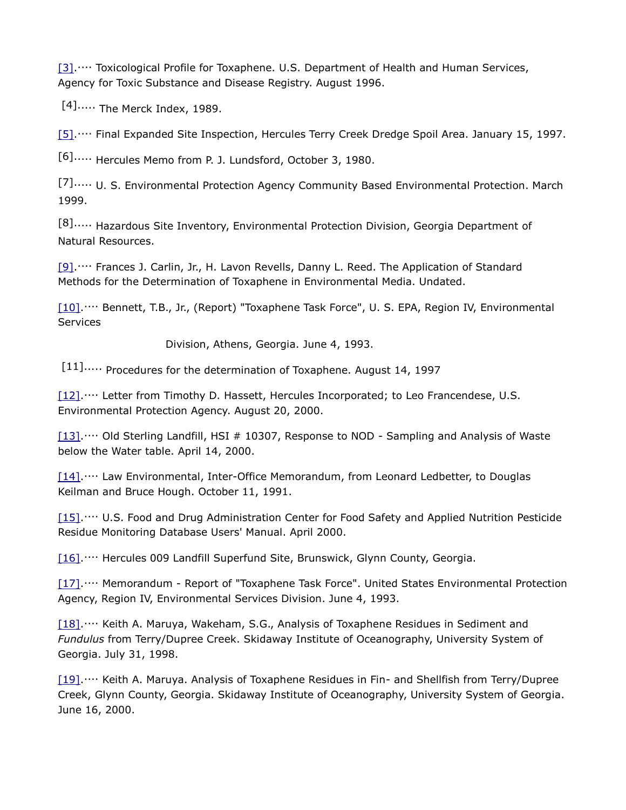[\[3\].](http://glynnenvironmental.org/oldsite/ToxapheneAnalysis.htm#_ednref3).... Toxicological Profile for Toxaphene. U.S. Department of Health and Human Services, Agency for Toxic Substance and Disease Registry. August 1996.

 $[4]$ ..... The Merck Index, 1989.

[\[5\].](http://glynnenvironmental.org/oldsite/ToxapheneAnalysis.htm#_ednref5)... Final Expanded Site Inspection, Hercules Terry Creek Dredge Spoil Area. January 15, 1997.

[6]..... Hercules Memo from P. J. Lundsford, October 3, 1980.

[7]..... U. S. Environmental Protection Agency Community Based Environmental Protection. March 1999.

[8]..... Hazardous Site Inventory, Environmental Protection Division, Georgia Department of Natural Resources.

[\[9\].](http://glynnenvironmental.org/oldsite/ToxapheneAnalysis.htm#_ednref9)... Frances J. Carlin, Jr., H. Lavon Revells, Danny L. Reed. The Application of Standard Methods for the Determination of Toxaphene in Environmental Media. Undated.

[\[10\].](http://glynnenvironmental.org/oldsite/ToxapheneAnalysis.htm#_ednref10)... Bennett, T.B., Jr., (Report) "Toxaphene Task Force", U. S. EPA, Region IV, Environmental **Services** 

Division, Athens, Georgia. June 4, 1993.

[11]..... Procedures for the determination of Toxaphene. August 14, 1997

[\[12\].](http://glynnenvironmental.org/oldsite/ToxapheneAnalysis.htm#_ednref12).... Letter from Timothy D. Hassett, Hercules Incorporated; to Leo Francendese, U.S. Environmental Protection Agency. August 20, 2000.

[\[13\].](http://glynnenvironmental.org/oldsite/ToxapheneAnalysis.htm#_ednref13)... Old Sterling Landfill, HSI # 10307, Response to NOD - Sampling and Analysis of Waste below the Water table. April 14, 2000.

[\[14\].](http://glynnenvironmental.org/oldsite/ToxapheneAnalysis.htm#_ednref14)... Law Environmental, Inter-Office Memorandum, from Leonard Ledbetter, to Douglas Keilman and Bruce Hough. October 11, 1991.

[\[15\].](http://glynnenvironmental.org/oldsite/ToxapheneAnalysis.htm#_ednref15)... U.S. Food and Drug Administration Center for Food Safety and Applied Nutrition Pesticide Residue Monitoring Database Users' Manual. April 2000.

[\[16\].](http://glynnenvironmental.org/oldsite/ToxapheneAnalysis.htm#_ednref16)... Hercules 009 Landfill Superfund Site, Brunswick, Glynn County, Georgia.

[\[17\].](http://glynnenvironmental.org/oldsite/ToxapheneAnalysis.htm#_ednref17).... Memorandum - Report of "Toxaphene Task Force". United States Environmental Protection Agency, Region IV, Environmental Services Division. June 4, 1993.

[\[18\].](http://glynnenvironmental.org/oldsite/ToxapheneAnalysis.htm#_ednref18)... Keith A. Maruya, Wakeham, S.G., Analysis of Toxaphene Residues in Sediment and *Fundulus* from Terry/Dupree Creek. Skidaway Institute of Oceanography, University System of Georgia. July 31, 1998.

[\[19\].](http://glynnenvironmental.org/oldsite/ToxapheneAnalysis.htm#_ednref19)... Keith A. Maruya. Analysis of Toxaphene Residues in Fin- and Shellfish from Terry/Dupree Creek, Glynn County, Georgia. Skidaway Institute of Oceanography, University System of Georgia. June 16, 2000.